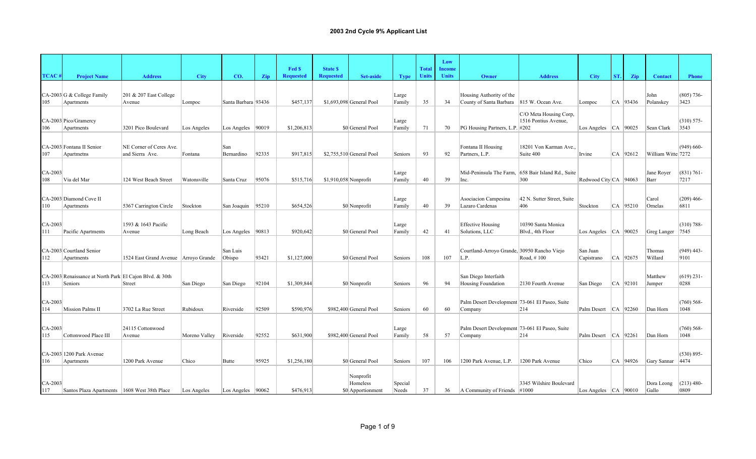|                  |                                                                    |                                            |               |                       |       |                            |                                     |                                            |                  |                              | Low                    |                                                           |                                                |                          |     |            |                     |                       |
|------------------|--------------------------------------------------------------------|--------------------------------------------|---------------|-----------------------|-------|----------------------------|-------------------------------------|--------------------------------------------|------------------|------------------------------|------------------------|-----------------------------------------------------------|------------------------------------------------|--------------------------|-----|------------|---------------------|-----------------------|
| <b>TCAC</b>      | <b>Project Name</b>                                                | <b>Address</b>                             | <b>City</b>   | CO.                   | Zip   | Fed \$<br><b>Requested</b> | <b>State \$</b><br><b>Requested</b> | <b>Set-aside</b>                           | <b>Type</b>      | <b>Total</b><br><b>Units</b> | Income<br><b>Units</b> | Owner                                                     | <b>Address</b>                                 | <b>City</b>              | ST. | Zip        | <b>Contact</b>      | <b>Phone</b>          |
| 105              | CA-2003 G & College Family<br>Apartments                           | 201 & 207 East College<br>Avenue           | Lompoc        | Santa Barbara 93436   |       | \$457,137                  |                                     | \$1,693,098 General Pool                   | Large<br>Family  | 35                           | 34                     | Housing Authority of the<br>County of Santa Barbara       | 815 W. Ocean Ave.                              | Lompoc                   |     | CA 93436   | John<br>Polanskey   | $(805)$ 736-<br>3423  |
| 106              | CA-2003 Pico/Gramercy<br>Apartments                                | 3201 Pico Boulevard                        | Los Angeles   | Los Angeles   90019   |       | \$1,206,813                |                                     | \$0 General Pool                           | Large<br>Family  | 71                           | 70                     | PG Housing Partners, L.P. #202                            | C/O Meta Housing Corp.<br>1516 Pontius Avenue, | Los Angeles   CA   90025 |     |            | Sean Clark          | $(310) 575 -$<br>3543 |
| 107              | CA-2003 Fontana II Senior<br>Apartmetns                            | NE Corner of Ceres Ave.<br>and Sierra Ave. | Fontana       | San<br>Bernardino     | 92335 | \$917,815                  |                                     | \$2,755,510 General Pool                   | Seniors          | 93                           | 92                     | Fontana II Housing<br>Partners, L.P.                      | 18201 Von Karman Ave<br>Suite 400              | Irvine                   |     | CA   92612 | William Witte 7272  | $(949) 660 -$         |
| $CA-2003$<br>108 | Via del Mar                                                        | 124 West Beach Street                      | Watonsville   | Santa Cruz            | 95076 | \$515,716                  | $$1,910,058$ Nonprofit              |                                            | Large<br>Family  | 40                           | 39                     | Mid-Peninsula The Farm,<br>Inc.                           | 658 Bair Island Rd., Suite<br>300              | Redwood City CA 94063    |     |            | Jane Royer<br>Barr  | $(831) 761 -$<br>7217 |
| 110              | CA-2003 Diamond Cove II<br>Apartments                              | 5367 Carrington Circle                     | Stockton      | San Joaquin 95210     |       | \$654,526                  |                                     | \$0 Nonprofit                              | Large<br>Family  | 40                           | 39                     | Asociacion Campesina<br>Lazaro Cardenas                   | 42 N. Sutter Street, Suite<br>406              | Stockton                 |     | CA 95210   | Carol<br>Ornelas    | $(209)$ 466-<br>6811  |
| $CA-2003$<br>111 | Pacific Apartments                                                 | 1593 & 1643 Pacific<br>Avenue              | Long Beach    | Los Angeles   $90813$ |       | \$920,642                  |                                     | \$0 General Pool                           | Large<br>Family  | 42                           | 41                     | <b>Effective Housing</b><br>Solutions, LLC                | 10390 Santa Monica<br>Blvd., 4th Floor         | Los Angeles $ CA $ 90025 |     |            | Greg Langer         | $(310) 788 -$<br>7545 |
| 112              | CA-2003 Courtland Senior<br>Apartments                             | 1524 East Grand Avenue Arroyo Grande       |               | San Luis<br>Obispo    | 93421 | \$1,127,000                |                                     | \$0 General Pool                           | Seniors          | 108                          | 107                    | Courtland-Arroyo Grande, 30950 Rancho Viejo<br>L.P.       | Road, #100                                     | San Juan<br>Capistrano   |     | CA 92675   | Thomas<br>Willard   | $(949)$ 443-<br>9101  |
| 113              | CA-2003 Renaissance at North Park El Cajon Blvd. & 30th<br>Seniors | Street                                     | San Diego     | San Diego             | 92104 | \$1,309,844                |                                     | \$0 Nonprofit                              | Seniors          | 96                           | 94                     | San Diego Interfaith<br><b>Housing Foundation</b>         | 2130 Fourth Avenue                             | San Diego                |     | $CA$ 92101 | Matthew<br>Jumper   | $(619)$ 231-<br>0288  |
| $CA-2003$<br>114 | Mission Palms II                                                   | 3702 La Rue Street                         | Rubidoux      | Riverside             | 92509 | \$590,976                  |                                     | \$982,400 General Pool                     | Seniors          | 60                           | 60                     | Palm Desert Development 73-061 El Paseo, Suite<br>Company | 214                                            | Palm Desert CA 92260     |     |            | Dan Horn            | $(760)$ 568-<br>1048  |
| $CA-2003$<br>115 | Cottonwood Place III                                               | 24115 Cottonwood<br>Avenue                 | Moreno Valley | Riverside             | 92552 | \$631,900                  |                                     | \$982,400 General Pool                     | Large<br>Family  | 58                           | 57                     | Palm Desert Development 73-061 El Paseo, Suite<br>Company | 214                                            | Palm Desert              |     | $CA$ 92261 | Dan Horn            | $(760)$ 568-<br>1048  |
| 116              | CA-2003 1200 Park Avenue<br>Apartments                             | 1200 Park Avenue                           | Chico         | Butte                 | 95925 | \$1,256,180                |                                     | \$0 General Pool                           | Seniors          | 107                          | 106                    | 1200 Park Avenue, L.P.                                    | 1200 Park Avenue                               | Chico                    |     | CA 94926   | Gary Sannar         | $(530) 895 -$<br>4474 |
| CA-2003<br>117   | Santos Plaza Apartments 1608 West 38th Place                       |                                            | Los Angeles   | Los Angeles   90062   |       | \$476.913                  |                                     | Nonprofit<br>Homeless<br>\$0 Apportionment | Special<br>Needs | 37                           | 36                     | $\vert$ A Community of Friends $\vert$ #1000              | 3345 Wilshire Boulevard                        | Los Angeles $ CA $ 90010 |     |            | Dora Leong<br>Gallo | $(213)$ 480-<br>0809  |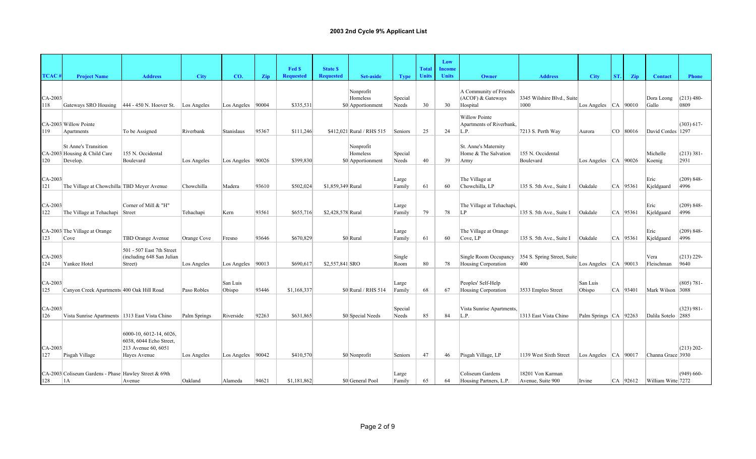|                |                                                                         |                                                                                           |              |                     |       |                  |                   |                                            |                  |              | Low           |                                                          |                                       |                           |     |              |                      |                       |
|----------------|-------------------------------------------------------------------------|-------------------------------------------------------------------------------------------|--------------|---------------------|-------|------------------|-------------------|--------------------------------------------|------------------|--------------|---------------|----------------------------------------------------------|---------------------------------------|---------------------------|-----|--------------|----------------------|-----------------------|
|                |                                                                         |                                                                                           |              |                     |       | Fed \$           | <b>State \$</b>   |                                            |                  | <b>Total</b> | <b>Income</b> |                                                          |                                       |                           |     |              |                      |                       |
| <b>TCAC</b>    | <b>Project Name</b>                                                     | <b>Address</b>                                                                            | <b>City</b>  | CO.                 | Zip   | <b>Requested</b> | <b>Requested</b>  | <b>Set-aside</b>                           | <b>Type</b>      | <b>Units</b> | <b>Units</b>  | Owner                                                    | <b>Address</b>                        | <b>City</b>               | ST. | <b>Zip</b>   | <b>Contact</b>       | <b>Phone</b>          |
| CA-2003<br>118 | Gateways SRO Housing  444 - 450 N. Hoover St.                           |                                                                                           | Los Angeles  | Los Angeles   90004 |       | \$335,531        |                   | Nonprofit<br>Homeless<br>\$0 Apportionment | Special<br>Needs | 30           | 30            | A Community of Friends<br>(ACOF) & Gateways<br>Hospital  | 3345 Wilshire Blvd., Suite<br>1000    | Los Angeles $ CA $ 90010  |     |              | Dora Leong<br>Gallo  | $(213)$ 480-<br>0809  |
| 119            | CA-2003 Willow Pointe<br>Apartments                                     | To be Assigned                                                                            | Riverbank    | Stanislaus          | 95367 | \$111,246        |                   | \$412,021 Rural / RHS 515                  | Seniors          | 25           | 24            | Willow Pointe<br><b>Apartments of Riverbank,</b><br>L.P. | 7213 S. Perth Way                     | Aurora                    |     | $CO$ 80016   | David Cordes 1297    | $(303) 617 -$         |
| 120            | <b>St Anne's Transition</b><br>CA-2003 Housing & Child Care<br>Develop. | 155 N. Occidental<br>Boulevard                                                            | Los Angeles  | Los Angeles   90026 |       | \$399,830        |                   | Nonprofit<br>Homeless<br>\$0 Apportionment | Special<br>Needs | 40           | 39            | St. Anne's Maternity<br>Home & The Salvation<br>Army     | 155 N. Occidental<br>Boulevard        | Los Angeles   CA   90026  |     |              | Michelle<br>Koenig   | $(213) 381 -$<br>2931 |
| CA-2003<br>121 | The Village at Chowchilla TBD Meyer Avenue                              |                                                                                           | Chowchilla   | Madera              | 93610 | \$502,024        | \$1,859,349 Rural |                                            | Large<br>Family  | 61           | 60            | The Village at<br>Chowchilla, LP                         | 135 S. 5th Ave., Suite I              | Oakdale                   |     | $ CA $ 95361 | Eric<br>Kjeldgaard   | $(209) 848 -$<br>4996 |
| CA-2003<br>122 | The Village at Tehachapi Street                                         | Corner of Mill & "H"                                                                      | Tehachapi    | Kern                | 93561 | \$655,716        | \$2,428,578 Rural |                                            | Large<br>Family  | 79           | 78            | The Village at Tehachapi,<br>LP                          | 135 S. 5th Ave., Suite I              | Oakdale                   |     | CA 95361     | Eric<br>Kjeldgaard   | $(209) 848 -$<br>4996 |
| 123            | CA-2003 The Village at Orange<br>Cove                                   | <b>TBD Orange Avenue</b>                                                                  | Orange Cove  | Fresno              | 93646 | \$670,829        |                   | \$0 Rural                                  | Large<br>Family  | 61           | 60            | The Village at Orange<br>Cove, LP                        | 135 S. 5th Ave., Suite I              | Oakdale                   |     | CA 95361     | Eric<br>Kjeldgaard   | $(209) 848 -$<br>4996 |
| CA-2003<br>124 | Yankee Hotel                                                            | 501 - 507 East 7th Street<br>(including 648 San Julian<br>Street)                         | Los Angeles  | Los Angeles   90013 |       | \$690,617        | \$2,557,841 SRO   |                                            | Single<br>Room   | 80           | 78            | Single Room Occupancy<br>Housing Corporation             | 354 S. Spring Street, Suite<br>400    | Los Angeles $ CA $ 90013  |     |              | Vera<br>Fleischman   | $(213)$ 229-<br>9640  |
| CA-2003<br>125 | Canyon Creek Apartments 400 Oak Hill Road                               |                                                                                           | Paso Robles  | San Luis<br>Obispo  | 93446 | \$1,168,337      |                   | \$0 Rural / RHS 514                        | Large<br>Family  | 68           | 67            | Peoples' Self-Help<br>Housing Corporation                | 3533 Empleo Street                    | San Luis<br>Obispo        |     | $ CA $ 93401 | Mark Wilson 3088     | $(805) 781 -$         |
| CA-2003<br>126 | Vista Sunrise Apartments 1313 East Vista Chino                          |                                                                                           | Palm Springs | Riverside           | 92263 | \$631,865        |                   | \$0 Special Needs                          | Special<br>Needs | 85           | 84            | Vista Sunrise Apartments,<br>L.P.                        | 1313 East Vista Chino                 | Palm Springs   CA   92263 |     |              | Dalila Sotelo   2885 | $(323) 981 -$         |
| CA-2003<br>127 | Pisgah Village                                                          | 6000-10, 6012-14, 6026,<br>6038, 6044 Echo Street,<br>213 Avenue 60, 6051<br>Haves Avenue | Los Angeles  | Los Angeles   90042 |       | \$410,570        |                   | \$0 Nonprofit                              | Seniors          | 47           | 46            | Pisgah Village, LP                                       | 1139 West Sixth Street                | Los Angeles $ CA 90017$   |     |              | Channa Grace 3930    | $(213) 202 -$         |
| 128            | CA-2003 Coliseum Gardens - Phase Hawley Street & 69th<br> 1A            | Avenue                                                                                    | Oakland      | Alameda             | 94621 | \$1,181,862      |                   | \$0 General Pool                           | Large<br>Family  | 65           | 64            | Coliseum Gardens<br>Housing Partners, L.P.               | 18201 Von Karman<br>Avenue, Suite 900 | Irvine                    |     | $CA$ 92612   | William Witte 7272   | $(949) 660-$          |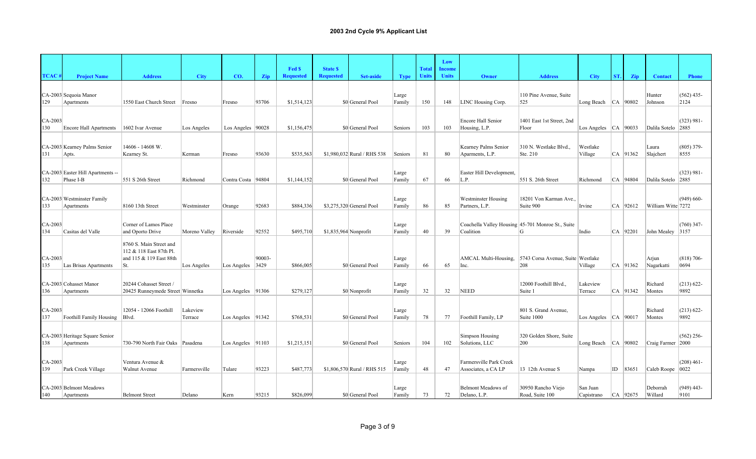|                |                                                |                                                                                      |                     |                      |        | Fed \$           | <b>State \$</b>       |                             |                 | <b>Total</b> | Low<br>Income |                                                                |                                          |                          |     |              |                     |                       |
|----------------|------------------------------------------------|--------------------------------------------------------------------------------------|---------------------|----------------------|--------|------------------|-----------------------|-----------------------------|-----------------|--------------|---------------|----------------------------------------------------------------|------------------------------------------|--------------------------|-----|--------------|---------------------|-----------------------|
| <b>TCAC</b>    | <b>Project Name</b>                            | <b>Address</b>                                                                       | <b>City</b>         | CO.                  | Zip    | <b>Requested</b> | <b>Requested</b>      | <b>Set-aside</b>            | <b>Type</b>     | <b>Units</b> | <b>Units</b>  | Owner                                                          | <b>Address</b>                           | <b>City</b>              | ST. | Zip          | <b>Contact</b>      | <b>Phone</b>          |
| 129            | CA-2003 Sequoia Manor<br>Apartments            | 1550 East Church Street                                                              | Fresno              | Fresno               | 93706  | \$1,514,123      |                       | \$0 General Pool            | Large<br>Family | 150          | 148           | LINC Housing Corp.                                             | 110 Pine Avenue, Suite<br>525            | Long Beach $ CA $ 90802  |     |              | Hunter<br>Johnson   | $(562)$ 435-<br>2124  |
| CA-2003<br>130 | <b>Encore Hall Apartments</b>                  | 1602 Ivar Avenue                                                                     | Los Angeles         | Los Angeles   90028  |        | \$1,156,475      |                       | \$0 General Pool            | Seniors         | 103          | 103           | Encore Hall Senior<br>Housing, L.P.                            | 1401 East 1st Street, 2nd<br>Floor       | Los Angeles $ CA $ 90033 |     |              | Dalila Sotelo 2885  | $(323) 981 -$         |
| 131            | CA-2003 Kearney Palms Senior<br>Apts.          | 14606 - 14608 W.<br>Kearney St.                                                      | Kerman              | Fresno               | 93630  | \$535,563        |                       | \$1,980,032 Rural / RHS 538 | Seniors         | 81           | 80            | Kearney Palms Senior<br>Aparments, L.P.                        | 310 N. Westlake Blvd.,<br>Ste. 210       | Westlake<br>Village      |     | $CA$ 91362   | Laura<br>Slajchert  | $(805)$ 379-<br>8555  |
| 132            | CA-2003 Easter Hill Apartments --<br>Phase I-B | 551 S 26th Street                                                                    | Richmond            | Contra Costa         | 94804  | \$1,144,152      |                       | \$0 General Pool            | Large<br>Family | 67           | 66            | Easter Hill Development,<br>L.P.                               | 551 S. 26th Street                       | Richmond                 |     | CA 94804     | Dalila Sotelo 2885  | $(323) 981 -$         |
| 133            | CA-2003 Westminster Family<br>Apartments       | 8160 13th Street                                                                     | Westminster         | Orange               | 92683  | \$884,336        |                       | \$3,275,320 General Pool    | Large<br>Family | 86           | 85            | Westminster Housing<br>Partners, L.P.                          | 18201 Von Karman Ave<br>Suite 900        | Irvine                   |     | CA 92612     | William Witte 7272  | $(949) 660-$          |
| CA-2003<br>134 | Casitas del Valle                              | Corner of Lamos Place<br>and Oporto Drive                                            | Moreno Valley       | Riverside            | 92552  | \$495,710        | \$1,835,964 Nonprofit |                             | Large<br>Family | 40           | 39            | Coachella Valley Housing 45-701 Monroe St., Suite<br>Coalition | G                                        | Indio                    |     | CA 92201     | John Mealey 3157    | $(760)$ 347-          |
| CA-2003<br>135 | Las Brisas Apartments                          | 8760 S. Main Street and<br>112 & 118 East 87th Pl.<br>and 115 & 119 East 88th<br>St. | Los Angeles         | Los Angeles   3429   | 90003- | \$866,005        |                       | \$0 General Pool            | Large<br>Family | 66           | 65            | AMCAL Multi-Housing,<br>Inc.                                   | 5743 Corsa Avenue, Suite Westlake<br>208 | Village                  |     | $CA$   91362 | Arjun<br>Nagarkatti | $(818) 706-$<br>0694  |
| 136            | CA-2003 Cohasset Manor<br>Apartments           | 20244 Cohasset Street /<br>20425 Runneymede Street Winnetka                          |                     | Los Angeles   91306  |        | \$279,127        |                       | \$0 Nonprofit               | Large<br>Family | 32           | 32            | <b>NEED</b>                                                    | 12000 Foothill Blvd.,<br>Suite 1         | Lakeview<br>Terrace      |     | CA 91342     | Richard<br>Montes   | $(213) 622 -$<br>9892 |
| CA-2003<br>137 | Foothill Family Housing                        | 12054 - 12066 Foothill<br>Blvd.                                                      | Lakeview<br>Terrace | Los Angeles $ 91342$ |        | \$768,531        |                       | \$0 General Pool            | Large<br>Family | 78           | 77            | Foothill Family, LP                                            | 801 S. Grand Avenue,<br>Suite 1000       | Los Angeles $ CA $ 90017 |     |              | Richard<br>Montes   | $(213) 622 -$<br>9892 |
| 138            | CA-2003 Heritage Square Senior<br>Apartments   | 730-790 North Fair Oaks Pasadena                                                     |                     | Los Angeles   91103  |        | \$1,215,151      |                       | \$0 General Pool            | Seniors         | 104          | 102           | Simpson Housing<br>Solutions, LLC                              | 320 Golden Shore, Suite<br>200           | Long Beach $ CA $ 90802  |     |              | Craig Farmer 2000   | $(562)$ 256-          |
| CA-2003<br>139 | Park Creek Village                             | Ventura Avenue &<br>Walnut Avenue                                                    | Farmersville        | Tulare               | 93223  | \$487,773        |                       | \$1,806,570 Rural / RHS 515 | Large<br>Family | 48           | 47            | Farmersville Park Creek<br>Associates, a CA LP                 | 13 12th Avenue S                         | Nampa                    |     | $ID$ 83651   | Caleb Roope   0022  | $(208)$ 461-          |
| 140            | CA-2003 Belmont Meadows<br>Apartments          | <b>Belmont Street</b>                                                                | Delano              | Kern                 | 93215  | \$826,099        |                       | \$0 General Pool            | Large<br>Family | 73           | 72            | Belmont Meadows of<br>Delano, L.P.                             | 30950 Rancho Viejo<br>Road, Suite 100    | San Juan<br>Capistrano   |     | CA 92675     | Deborrah<br>Willard | $(949)$ 443-<br>9101  |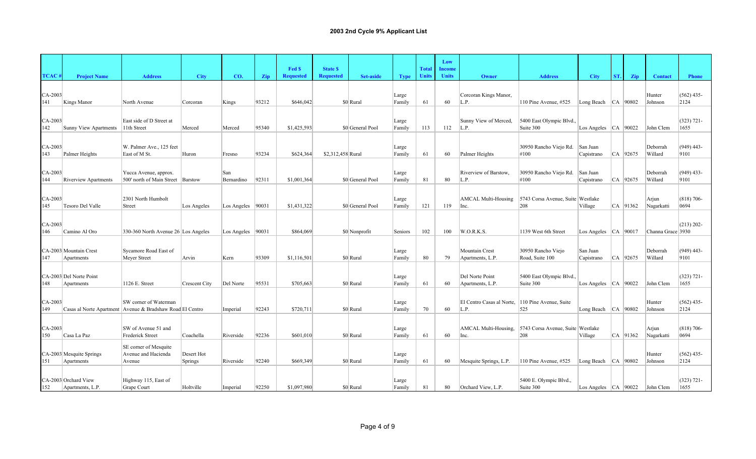|                |                              |                                                                                      |                      |                      |       |                  |                   |                  |                 |              | Low           |                                    |                                          |                          |     |            |                     |                      |
|----------------|------------------------------|--------------------------------------------------------------------------------------|----------------------|----------------------|-------|------------------|-------------------|------------------|-----------------|--------------|---------------|------------------------------------|------------------------------------------|--------------------------|-----|------------|---------------------|----------------------|
|                |                              |                                                                                      |                      |                      |       | Fed \$           | <b>State \$</b>   |                  |                 | <b>Total</b> | <b>Income</b> |                                    |                                          |                          |     |            |                     |                      |
| <b>TCAC</b>    | <b>Project Name</b>          | <b>Address</b>                                                                       | <b>City</b>          | CO.                  | Zip   | <b>Requested</b> | <b>Requested</b>  | <b>Set-aside</b> | <b>Type</b>     | <b>Units</b> | <b>Units</b>  | Owner                              | <b>Address</b>                           | <b>City</b>              | ST. | <b>Zip</b> | <b>Contact</b>      | <b>Phone</b>         |
|                |                              |                                                                                      |                      |                      |       |                  |                   |                  |                 |              |               |                                    |                                          |                          |     |            |                     |                      |
| CA-2003<br>141 | Kings Manor                  | North Avenue                                                                         | Corcoran             | Kings                | 93212 | \$646,042        |                   | \$0 Rural        | Large<br>Family | 61           | 60            | Corcoran Kings Manor,<br>L.P.      | 110 Pine Avenue, #525                    | Long Beach $ CA $ 90802  |     |            | Hunter<br>Johnson   | $(562)$ 435-<br>2124 |
|                |                              |                                                                                      |                      |                      |       |                  |                   |                  |                 |              |               |                                    |                                          |                          |     |            |                     |                      |
| CA-2003        |                              | East side of D Street at                                                             |                      |                      |       |                  |                   |                  | Large           |              |               | Sunny View of Merced,              | 5400 East Olympic Blvd.,                 |                          |     |            |                     | $(323) 721 -$        |
| 142            | <b>Sunny View Apartments</b> | 11th Street                                                                          | Merced               | Merced               | 95340 | \$1,425,593      |                   | \$0 General Pool | Family          | 113          | 112           | L.P.                               | Suite 300                                | Los Angeles $ CA $ 90022 |     |            | John Clem           | 1655                 |
|                |                              |                                                                                      |                      |                      |       |                  |                   |                  |                 |              |               |                                    |                                          |                          |     |            |                     |                      |
| CA-2003        |                              | W. Palmer Ave., 125 feet                                                             |                      |                      |       |                  |                   |                  | Large           |              |               |                                    | 30950 Rancho Viejo Rd.                   | San Juan                 |     |            | Deborrah            | $(949)$ 443-         |
| 143            | Palmer Heights               | East of M St.                                                                        | Huron                | Fresno               | 93234 | \$624,364        | \$2,312,458 Rural |                  | Family          | 61           | 60            | Palmer Heights                     | #100                                     | Capistrano               |     | CA 92675   | Willard             | 9101                 |
|                |                              |                                                                                      |                      |                      |       |                  |                   |                  |                 |              |               |                                    |                                          |                          |     |            |                     |                      |
| CA-2003        |                              | Yucca Avenue, approx.                                                                |                      | San                  |       |                  |                   |                  | Large           |              |               | Riverview of Barstow.              | 30950 Rancho Viejo Rd.                   | San Juan                 |     |            | Deborrah            | $(949)$ 433-         |
| 144            | <b>Riverview Apartments</b>  | 500' north of Main Street   Barstow                                                  |                      | Bernardino           | 92311 | \$1,001,364      |                   | \$0 General Pool | Family          | 81           | 80            | L.P.                               | #100                                     | Capistrano               |     | CA 92675   | Willard             | 9101                 |
|                |                              |                                                                                      |                      |                      |       |                  |                   |                  |                 |              |               |                                    |                                          |                          |     |            |                     |                      |
| CA-2003<br>145 | Tesoro Del Valle             | 2301 North Humbolt<br>Street                                                         | Los Angeles          | Los Angeles   90031  |       | \$1,431,322      |                   | \$0 General Pool | Large<br>Family | 121          | 119           | <b>AMCAL Multi-Housing</b><br>Inc. | 5743 Corsa Avenue, Suite Westlake<br>208 | Village                  |     | CA 91362   | Arjun<br>Nagarkatti | $(818)$ 706-<br>0694 |
|                |                              |                                                                                      |                      |                      |       |                  |                   |                  |                 |              |               |                                    |                                          |                          |     |            |                     |                      |
| CA-2003        |                              |                                                                                      |                      |                      |       |                  |                   |                  |                 |              |               |                                    |                                          |                          |     |            |                     | $(213) 202 -$        |
| 146            | Camino Al Oro                | 330-360 North Avenue 26 Los Angeles                                                  |                      | Los Angeles $ 90031$ |       | \$864,069        |                   | \$0 Nonprofit    | Seniors         | 102          | 100           | W.O.R.K.S.                         | 1139 West 6th Street                     | Los Angeles $ CA $ 90017 |     |            | Channa Grace 3930   |                      |
|                |                              |                                                                                      |                      |                      |       |                  |                   |                  |                 |              |               |                                    |                                          |                          |     |            |                     |                      |
|                | CA-2003 Mountain Crest       | Sycamore Road East of                                                                |                      |                      |       |                  |                   |                  | Large           |              |               | Mountain Crest                     | 30950 Rancho Viejo                       | San Juan                 |     |            | Deborrah            | $(949)$ 443-         |
| 147            | Apartments                   | Meyer Street                                                                         | Arvin                | Kern                 | 93309 | \$1,116,501      |                   | \$0 Rural        | Family          | 80           | 79            | Apartments, L.P.                   | Road, Suite 100                          | Capistrano               |     | $CA$ 92675 | Willard             | 9101                 |
|                |                              |                                                                                      |                      |                      |       |                  |                   |                  |                 |              |               |                                    |                                          |                          |     |            |                     |                      |
|                | CA-2003 Del Norte Point      |                                                                                      |                      |                      |       |                  |                   |                  | Large           |              |               | Del Norte Point                    | 5400 East Olympic Blvd.,                 |                          |     |            |                     | $(323) 721 -$        |
| 148            | Apartments                   | 1126 E. Street                                                                       | <b>Crescent City</b> | Del Norte            | 95531 | \$705,663        |                   | \$0 Rural        | Family          | 61           | 60            | Apartments, L.P.                   | Suite 300                                | Los Angeles $ CA $ 90022 |     |            | John Clem           | 1655                 |
|                |                              |                                                                                      |                      |                      |       |                  |                   |                  |                 |              |               |                                    |                                          |                          |     |            |                     |                      |
| CA-2003<br>149 |                              | SW corner of Waterman<br>Casas al Norte Apartment   Avenue & Bradshaw Road El Centro |                      | Imperial             | 92243 | \$720,711        |                   | \$0 Rural        | Large<br>Family | 70           | 60            | El Centro Casas al Norte,<br>L.P.  | 110 Pine Avenue, Suite<br>525            | Long Beach   CA   90802  |     |            | Hunter<br>Johnson   | $(562)$ 435-<br>2124 |
|                |                              |                                                                                      |                      |                      |       |                  |                   |                  |                 |              |               |                                    |                                          |                          |     |            |                     |                      |
| CA-2003        |                              | SW of Avenue 51 and                                                                  |                      |                      |       |                  |                   |                  | Large           |              |               | AMCAL Multi-Housing,               | 5743 Corsa Avenue, Suite Westlake        |                          |     |            | Arjun               | $(818)$ 706-         |
| 150            | Casa La Paz                  | Frederick Street                                                                     | Coachella            | Riverside            | 92236 | \$601,010        |                   | \$0 Rural        | Family          | 61           | 60            | Inc.                               | 208                                      | Village                  |     | CA 91362   | Nagarkatti          | 0694                 |
|                |                              | SE corner of Mesquite                                                                |                      |                      |       |                  |                   |                  |                 |              |               |                                    |                                          |                          |     |            |                     |                      |
|                | CA-2003 Mesquite Springs     | Avenue and Hacienda                                                                  | Desert Hot           |                      |       |                  |                   |                  | Large           |              |               |                                    |                                          |                          |     |            | Hunter              | $(562)$ 435-         |
| 151            | Apartments                   | Avenue                                                                               | <b>Springs</b>       | Riverside            | 92240 | \$669,349        |                   | \$0 Rural        | Family          | 61           | 60            | Mesquite Springs, L.P.             | 110 Pine Avenue, #525                    | Long Beach $ CA $ 90802  |     |            | Johnson             | 2124                 |
|                |                              |                                                                                      |                      |                      |       |                  |                   |                  |                 |              |               |                                    |                                          |                          |     |            |                     |                      |
|                | CA-2003 Orchard View         | Highway 115, East of                                                                 |                      |                      |       |                  |                   |                  | Large           |              |               |                                    | 5400 E. Olympic Blvd.,                   |                          |     |            |                     | $(323) 721 -$        |
| 152            | Apartments, L.P.             | Grape Court                                                                          | Holtville            | Imperial             | 92250 | \$1,097,980      |                   | \$0 Rural        | Family          | 81           | 80            | Orchard View, L.P.                 | Suite 300                                | Los Angeles $ CA $ 90022 |     |            | John Clem           | 1655                 |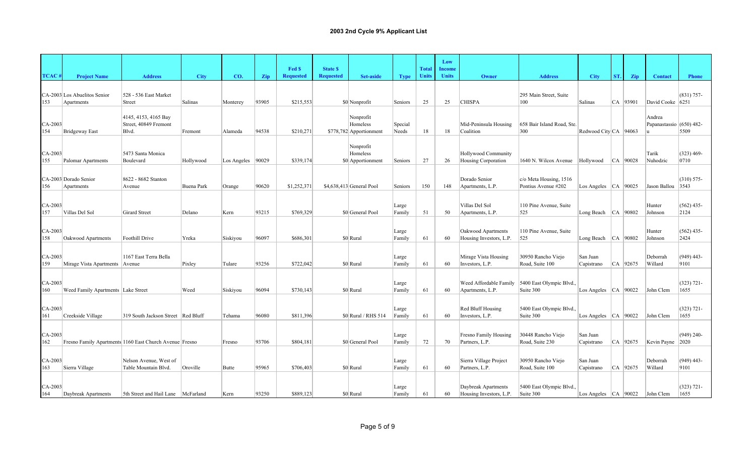|                  |                                            |                                                         |             |                     |       | Fed \$           | <b>State \$</b>  |                                                  |                  | <b>Total</b> | Low<br><b>Income</b> |                                                |                                               |                          |     |              |                                    |                       |
|------------------|--------------------------------------------|---------------------------------------------------------|-------------|---------------------|-------|------------------|------------------|--------------------------------------------------|------------------|--------------|----------------------|------------------------------------------------|-----------------------------------------------|--------------------------|-----|--------------|------------------------------------|-----------------------|
| <b>TCAC</b>      | <b>Project Name</b>                        | <b>Address</b>                                          | <b>City</b> | CO.                 | Zip   | <b>Requested</b> | <b>Requested</b> | <b>Set-aside</b>                                 | <b>Type</b>      | <b>Units</b> | <b>Units</b>         | Owner                                          | <b>Address</b>                                | <b>City</b>              | ST. | Zip          | <b>Contact</b>                     | <b>Phone</b>          |
| 153              | CA-2003 Los Abuelitos Senior<br>Apartments | 528 - 536 East Market<br>Street                         | Salinas     | Monterey            | 93905 | \$215,553        |                  | \$0 Nonprofit                                    | Seniors          | 25           | 25                   | <b>CHISPA</b>                                  | 295 Main Street, Suite<br>100                 | Salinas                  |     | $ CA $ 93901 | David Cooke 6251                   | $(831) 757 -$         |
| CA-2003<br>154   | Bridgeway East                             | 4145, 4153, 4165 Bay<br>Street, 40849 Fremont<br>Blvd.  | Fremont     | Alameda             | 94538 | \$210,271        |                  | Nonprofit<br>Homeless<br>\$778,782 Apportionment | Special<br>Needs | 18           | 18                   | Mid-Peninsula Housing<br>Coalition             | 658 Bair Island Road, Ste.<br>300             | Redwood City CA 94063    |     |              | Andrea<br>Papanastassio (650) 482- | 5509                  |
| CA-2003<br>155   | Palomar Apartments                         | 5473 Santa Monica<br>Boulevard                          | Hollywood   | Los Angeles   90029 |       | \$339,174        |                  | Nonprofit<br>Homeless<br>\$0 Apportionment       | Seniors          | 27           | 26                   | Hollywood Community<br>Housing Corporation     | 1640 N. Wilcox Avenue   Hollywood             |                          |     | $ CA $ 90028 | Tarik<br>Nuhodzic                  | $(323)$ 469-<br>0710  |
| 156              | CA-2003 Dorado Senior<br>Apartments        | 8622 - 8682 Stanton<br>Avenue                           | Buena Park  | Orange              | 90620 | \$1,252,371      |                  | \$4,638,413 General Pool                         | Seniors          | 150          | 148                  | Dorado Senior<br>Apartments, L.P.              | c/o Meta Housing, 1516<br>Pontius Avenue #202 | Los Angeles $ CA $ 90025 |     |              | Jason Ballou 3543                  | $(310) 575 -$         |
| $CA-2003$<br>157 | Villas Del Sol                             | Girard Street                                           | Delano      | Kern                | 93215 | \$769,329        |                  | \$0 General Pool                                 | Large<br>Family  | 51           | 50                   | Villas Del Sol<br>Apartments, L.P.             | 110 Pine Avenue, Suite<br>525                 | Long Beach $ CA $ 90802  |     |              | Hunter<br>Johnson                  | $(562)$ 435-<br>2124  |
| CA-2003<br>158   | Oakwood Apartments                         | Foothill Drive                                          | Yreka       | Siskiyou            | 96097 | \$686,301        |                  | \$0 Rural                                        | Large<br>Family  | 61           | 60                   | Oakwood Apartments<br>Housing Investors, L.P.  | 110 Pine Avenue, Suite<br>525                 | Long Beach $ CA 90802$   |     |              | Hunter<br>Johnson                  | $(562)$ 435-<br>2424  |
| CA-2003<br>159   | Mirage Vista Apartments Avenue             | 1167 East Terra Bella                                   | Pixley      | Tulare              | 93256 | \$722,042        |                  | \$0 Rural                                        | Large<br>Family  | 61           | 60                   | Mirage Vista Housing<br>Investors, L.P.        | 30950 Rancho Viejo<br>Road, Suite 100         | San Juan<br>Capistrano   |     | $CA$ 92675   | Deborrah<br>Willard                | $(949)$ 443-<br>9101  |
| CA-2003<br>160   | Weed Family Apartments Lake Street         |                                                         | Weed        | Siskiyou            | 96094 | \$730,143        |                  | \$0 Rural                                        | Large<br>Family  | 61           | 60                   | Weed Affordable Family<br>Apartments, L.P.     | 5400 East Olympic Blvd.,<br>Suite 300         | Los Angeles $ CA $ 90022 |     |              | John Clem                          | $(323) 721 -$<br>1655 |
| CA-2003<br>161   | Creekside Village                          | 319 South Jackson Street Red Bluff                      |             | Tehama              | 96080 | \$811,396        |                  | \$0 Rural / RHS 514                              | Large<br>Family  | 61           | 60                   | Red Bluff Housing<br>Investors, L.P.           | 5400 East Olympic Blvd<br>Suite 300           | Los Angeles $ CA $ 90022 |     |              | John Clem                          | $(323) 721 -$<br>1655 |
| CA-2003<br>162   |                                            | Fresno Family Apartments 1160 East Church Avenue Fresno |             | Fresno              | 93706 | \$804,181        |                  | \$0 General Pool                                 | Large<br>Family  | 72           | 70                   | Fresno Family Housing<br>Partners, L.P.        | 30448 Rancho Viejo<br>Road, Suite 230         | San Juan<br>Capistrano   |     | $CA$ 92675   | Kevin Payne 2020                   | $(949)$ 240-          |
| CA-2003<br>163   | Sierra Village                             | Nelson Avenue, West of<br>Table Mountain Blvd.          | Oroville    | Butte               | 95965 | \$706,403        |                  | \$0 Rural                                        | Large<br>Family  | 61           | 60                   | Sierra Village Project<br>Partners, L.P.       | 30950 Rancho Viejo<br>Road, Suite 100         | San Juan<br>Capistrano   |     | CA 92675     | Deborrah<br>Willard                | $(949)$ 443-<br>9101  |
| $CA-2003$<br>164 | Daybreak Apartments                        | 5th Street and Hail Lane McFarland                      |             | Kern                | 93250 | \$889,123        |                  | \$0 Rural                                        | Large<br>Family  | 61           | 60                   | Daybreak Apartments<br>Housing Investors, L.P. | 5400 East Olympic Blvd<br>Suite 300           | Los Angeles $ CA $ 90022 |     |              | John Clem                          | $(323) 721 -$<br>1655 |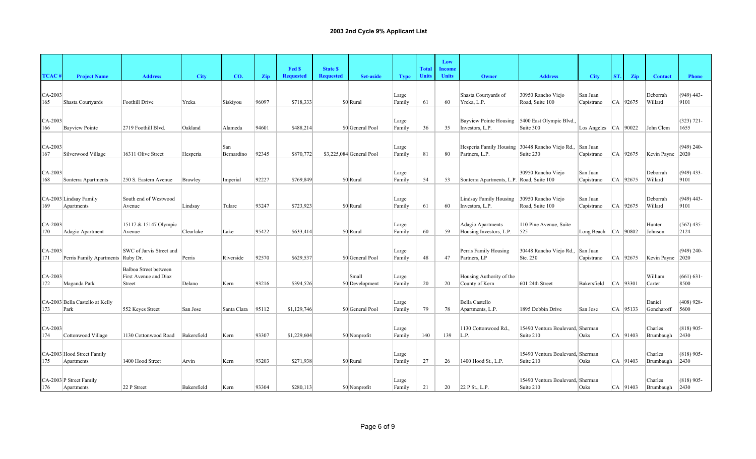|                  |                                          |                                                          |                |                   |       |                            |                                     |                          |                 |                              | Low                    |                                                                   |                                               |                         |     |              |                      |                       |
|------------------|------------------------------------------|----------------------------------------------------------|----------------|-------------------|-------|----------------------------|-------------------------------------|--------------------------|-----------------|------------------------------|------------------------|-------------------------------------------------------------------|-----------------------------------------------|-------------------------|-----|--------------|----------------------|-----------------------|
| <b>TCAC</b>      | <b>Project Name</b>                      | <b>Address</b>                                           | <b>City</b>    | CO.               | Zip   | Fed \$<br><b>Requested</b> | <b>State \$</b><br><b>Requested</b> | <b>Set-aside</b>         | <b>Type</b>     | <b>Total</b><br><b>Units</b> | Income<br><b>Units</b> | Owner                                                             | <b>Address</b>                                | <b>City</b>             | ST. | Zip          | <b>Contact</b>       | <b>Phone</b>          |
| CA-2003<br>165   | Shasta Courtyards                        | Foothill Drive                                           | Yreka          | Siskiyou          | 96097 | \$718,333                  |                                     | \$0 Rural                | Large<br>Family | 61                           | 60                     | Shasta Courtyards of<br>Yreka, L.P.                               | 30950 Rancho Viejo<br>Road, Suite 100         | San Juan<br>Capistrano  |     | CA 92675     | Deborrah<br>Willard  | $(949)$ 443-<br>9101  |
| CA-2003<br>166   | <b>Bayview Pointe</b>                    | 2719 Foothill Blvd.                                      | Oakland        | Alameda           | 94601 | \$488,214                  |                                     | \$0 General Pool         | Large<br>Family | 36                           | 35                     | <b>Bayview Pointe Housing</b><br>Investors, L.P.                  | 5400 East Olympic Blvd.,<br>Suite 300         | Los Angeles $ CA 90022$ |     |              | John Clem            | $(323) 721 -$<br>1655 |
| CA-2003<br>167   | Silverwood Village                       | 16311 Olive Street                                       | Hesperia       | San<br>Bernardino | 92345 | \$870,772                  |                                     | \$3,225,084 General Pool | Large<br>Family | 81                           | 80                     | Hesperia Family Housing 30448 Rancho Viejo Rd.,<br>Partners, L.P. | Suite 230                                     | San Juan<br>Capistrano  |     | $CA$ 92675   | Kevin Payne 2020     | $(949)$ 240-          |
| CA-2003<br>168   | Sonterra Apartments                      | 250 S. Eastern Avenue                                    | <b>Brawley</b> | Imperial          | 92227 | \$769,849                  |                                     | \$0 Rural                | Large<br>Family | 54                           | 53                     | Sonterra Apartments, L.P. Road, Suite 100                         | 30950 Rancho Viejo                            | San Juan<br>Capistrano  |     | CA 92675     | Deborrah<br>Willard  | $(949)$ 433-<br>9101  |
| 169              | CA-2003 Lindsay Family<br>Apartments     | South end of Westwood<br>Avenue                          | Lindsay        | Tulare            | 93247 | \$723,923                  |                                     | \$0 Rural                | Large<br>Family | 61                           | 60                     | Lindsay Family Housing<br>Investors, L.P.                         | 30950 Rancho Viejo<br>Road, Suite 100         | San Juan<br>Capistrano  |     | CA 92675     | Deborrah<br>Willard  | $(949)$ 443-<br>9101  |
| $CA-2003$<br>170 | Adagio Apartment                         | 15117 & 15147 Olympic<br>Avenue                          | Clearlake      | Lake              | 95422 | \$633,414                  |                                     | \$0 Rural                | Large<br>Family | 60                           | 59                     | Adagio Apartments<br>Housing Investors, L.P.                      | 110 Pine Avenue, Suite<br>525                 | Long Beach $ CA $ 90802 |     |              | Hunter<br>Johnson    | $(562)$ 435-<br>2124  |
| CA-2003<br>171   | Perris Family Apartments Ruby Dr.        | SWC of Jarvis Street and                                 | Perris         | Riverside         | 92570 | \$629,537                  |                                     | \$0 General Pool         | Large<br>Family | 48                           | 47                     | Perris Family Housing<br>Partners, LP                             | 30448 Rancho Viejo Rd., San Juan<br>Ste. 230  | Capistrano              |     | CA 92675     | Kevin Payne 2020     | $(949)$ 240-          |
| CA-2003<br>172   | Maganda Park                             | Balboa Street between<br>First Avenue and Diaz<br>Street | Delano         | Kern              | 93216 | \$394,526                  |                                     | Small<br>\$0 Development | Large<br>Family | 20                           | 20                     | Housing Authority of the<br>County of Kern                        | 601 24th Street                               | Bakersfield             |     | $ CA $ 93301 | William<br>Carter    | $(661) 631 -$<br>8500 |
| 173              | CA-2003 Bella Castello at Kelly<br>Park  | 552 Keyes Street                                         | San Jose       | Santa Clara       | 95112 | \$1,129,746                |                                     | \$0 General Pool         | Large<br>Family | 79                           | 78                     | <b>Bella Castello</b><br>Apartments, L.P.                         | 1895 Dobbin Drive                             | San Jose                |     | $ CA $ 95133 | Daniel<br>Goncharoff | $(408)$ 928-<br>5600  |
| CA-2003<br>174   | Cottonwood Village                       | 1130 Cottonwood Road                                     | Bakersfield    | Kern              | 93307 | \$1,229,604                |                                     | \$0 Nonprofit            | Large<br>Family | 140                          | 139                    | 1130 Cottonwood Rd.,<br>L.P.                                      | 15490 Ventura Boulevard, Sherman<br>Suite 210 | Oaks                    |     | CA 91403     | Charles<br>Brumbaugh | $(818)$ 905-<br>2430  |
| 175              | CA-2003 Hood Street Family<br>Apartments | 1400 Hood Street                                         | Arvin          | Kern              | 93203 | \$271,938                  |                                     | \$0 Rural                | Large<br>Family | 27                           | 26                     | 1400 Hood St., L.P.                                               | 15490 Ventura Boulevard, Sherman<br>Suite 210 | Oaks                    |     | CA   91403   | Charles<br>Brumbaugh | $(818)$ 905-<br> 2430 |
| 176              | CA-2003 P Street Family<br>Apartments    | 22 P Street                                              | Bakersfield    | Kern              | 93304 | \$280,113                  |                                     | \$0 Nonprofit            | Large<br>Family | 21                           | 20                     | 22 P St., L.P.                                                    | 15490 Ventura Boulevard, Sherman<br>Suite 210 | Oaks                    |     | $CA$   91403 | Charles<br>Brumbaugh | $(818)$ 905-<br>2430  |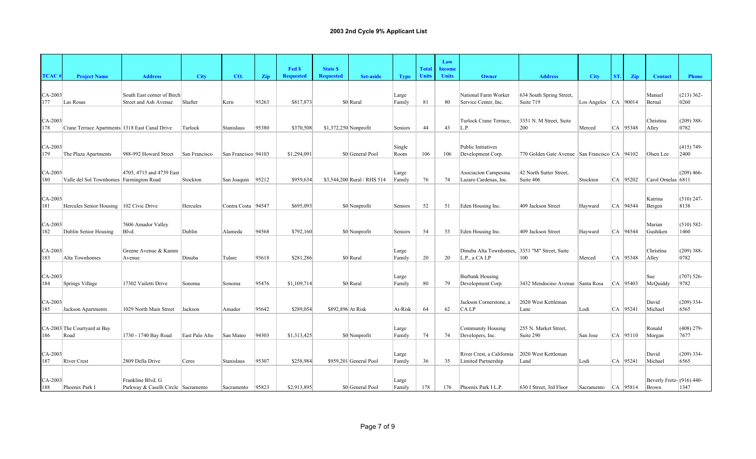|                  |                                                |                                                          |                |                       |       |                            |                                     |                             |                 | <b>Total</b> | Low                           |                                                                |                                                 |                          |       |              |                                      |                       |
|------------------|------------------------------------------------|----------------------------------------------------------|----------------|-----------------------|-------|----------------------------|-------------------------------------|-----------------------------|-----------------|--------------|-------------------------------|----------------------------------------------------------------|-------------------------------------------------|--------------------------|-------|--------------|--------------------------------------|-----------------------|
| TCAC             | <b>Project Name</b>                            | <b>Address</b>                                           | <b>City</b>    | CO.                   | Zip   | Fed \$<br><b>Requested</b> | <b>State \$</b><br><b>Requested</b> | Set-aside                   | <b>Type</b>     | <b>Units</b> | <b>Income</b><br><b>Units</b> | Owner                                                          | <b>Address</b>                                  | <b>City</b>              | ST. I | Zip          | <b>Contact</b>                       | <b>Phone</b>          |
| $CA-2003$<br>177 | Las Rosas                                      | South East corner of Birch<br>Street and Ash Avenue      | Shafter        | Kern                  | 93263 | \$817,873                  |                                     | \$0 Rural                   | Large<br>Family | 81           | 80                            | National Farm Worker<br>Service Center, Inc.                   | 634 South Spring Street,<br>Suite 719           | Los Angeles $ CA $ 90014 |       |              | Manuel<br>Bernal                     | $(213)$ 362-<br>0260  |
| $CA-2003$<br>178 | Crane Terrace Apartments 1318 East Canal Drive |                                                          | Turlock        | Stanislaus            | 95380 | \$370,508                  | \$1,372,250 Nonprofit               |                             | Seniors         | 44           | 43                            | Turlock Crane Terrace,<br>L.P.                                 | 3351 N. M Street, Suite<br>200                  | Merced                   |       | CA 95348     | Christina<br>Alley                   | $(209)$ 388-<br>0782  |
| $CA-2003$<br>179 | The Plaza Apartments                           | 988-992 Howard Street                                    | San Francisco  | San Francisco   94103 |       | \$1,294,091                |                                     | \$0 General Pool            | Single<br>Room  | 106          | 106                           | Public Initiatives<br>Development Corp.                        | 770 Golden Gate Avenue San Francisco CA   94102 |                          |       |              | Olsen Lee                            | $(415)$ 749-<br>2400  |
| CA-2003<br>180   | Valle del Sol Townhomes Farmington Road        | 4705, 4715 and 4739 East                                 | Stockton       | San Joaquin 95212     |       | \$959,634                  |                                     | \$3,544,200 Rural / RHS 514 | Large<br>Family | 76           | 74                            | Asociacion Campesina<br>Lazaro Cardenas, Inc.                  | 42 North Sutter Street,<br>Suite 406            | Stockton                 |       | CA 95202     | Carol Ornelas 6811                   | $(209)$ 466-          |
| $CA-2003$<br>181 | Hercules Senior Housing   102 Civic Drive      |                                                          | Hercules       | Contra Costa   94547  |       | \$695,093                  |                                     | \$0 Nonprofit               | Seniors         | 52           | 51                            | Eden Housing Inc.                                              | 409 Jackson Street                              | Hayward                  |       | $CA$ 94544   | Katrina<br>Bergen                    | $(510)$ 247-<br>8138  |
| $CA-2003$<br>182 | Dublin Senior Housing                          | 7606 Amador Valley<br>Blvd.                              | Dublin         | Alameda               | 94568 | \$792,160                  |                                     | \$0 Nonprofit               | Seniors         | 54           | 53                            | Eden Housing Inc.                                              | 409 Jackson Street                              | Hayward                  |       | $ CA $ 94544 | Marian<br>Gushiken                   | $(510) 582 -$<br>1460 |
| $CA-2003$<br>183 | Alta Townhomes                                 | Greene Avenue & Kamm<br>Avenue                           | Dinuba         | Tulare                | 93618 | \$281,286                  |                                     | \$0 Rural                   | Large<br>Family | 20           | 20                            | Dinuba Alta Townhomes, 3351 "M" Street, Suite<br>L.P., a CA LP | 100                                             | Merced                   |       | $CA$ 95348   | Christina<br>Alley                   | $(209)$ 388-<br>0782  |
| CA-2003<br>184   | Springs Village                                | 17302 Vailetti Drive                                     | Sonoma         | Sonoma                | 95476 | \$1,109,714                |                                     | \$0 Rural                   | Large<br>Family | 80           | 79                            | Burbank Housing<br>Development Corp.                           | 3432 Mendocino Avenue Santa Rosa                |                          |       | $ CA $ 95403 | Sue<br>McQuiddy                      | $(707) 526 -$<br>9782 |
| CA-2003<br>185   | Jackson Apartments                             | 1029 North Main Street                                   | Jackson        | Amador                | 95642 | \$289,054                  | \$892,896 At Risk                   |                             | At-Risk         | 64           | 62                            | Jackson Cornerstone, a<br>CA LP                                | 2020 West Kettleman<br>Lane                     | Lodi                     |       | $CA$ 95241   | David<br>Michael                     | $(209)$ 334-<br>6565  |
| 186              | CA-2003 The Courtyard at Bay<br>Road           | 1730 - 1740 Bay Road                                     | East Palo Alto | San Mateo             | 94303 | \$1,313,425                |                                     | \$0 Nonprofit               | Large<br>Family | 74           | 74                            | Community Housing<br>Developers, Inc.                          | 255 N. Market Street,<br>Suite 290              | San Jose                 |       | CA 95110     | Ronald<br>Morgan                     | $(408)$ 279-<br>7677  |
| CA-2003<br>187   | <b>River Crest</b>                             | 2809 Della Drive                                         | Ceres          | Stanislaus            | 95307 | \$258,984                  |                                     | \$959,201 General Pool      | Large<br>Family | 36           | 35                            | River Crest, a California<br>Limited Partnership               | 2020 West Kettleman<br>Land                     | Lodi                     |       | CA 95241     | David<br>Michael                     | $(209)$ 334-<br>6565  |
| $CA-2003$<br>188 | Phoenix Park I                                 | Frankline Blvd. G<br>Parkway & Caselli Circle Sacramento |                | Sacramento            | 95823 | \$2,913,895                |                                     | \$0 General Pool            | Large<br>Family | 178          | 176                           | Phoenix Park I L.P.                                            | 630 I Street, 3rd Floor                         | Sacramento   CA   95814  |       |              | Beverly Fretz- $(916)$ 440-<br>Brown | 1347                  |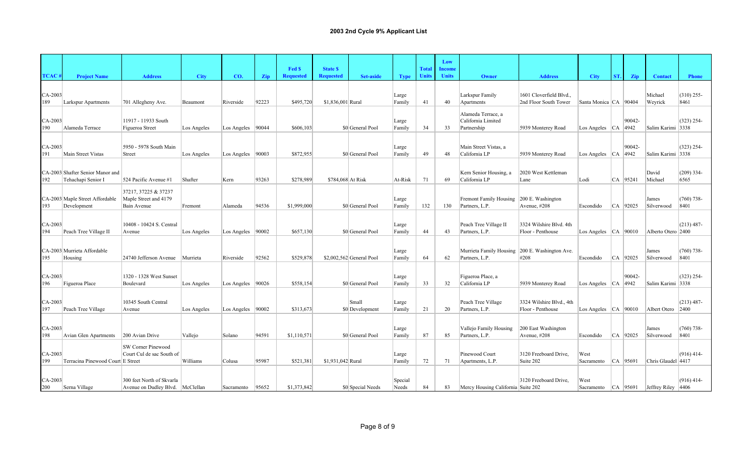|                |                                   |                                               |             |                      |       |                            |                                     |                          |                 |                              | Low                           |                                                |                                               |                           |     |            |                       |                      |
|----------------|-----------------------------------|-----------------------------------------------|-------------|----------------------|-------|----------------------------|-------------------------------------|--------------------------|-----------------|------------------------------|-------------------------------|------------------------------------------------|-----------------------------------------------|---------------------------|-----|------------|-----------------------|----------------------|
| <b>TCAC</b>    | <b>Project Name</b>               | <b>Address</b>                                | <b>City</b> | CO.                  | Zip   | Fed \$<br><b>Requested</b> | <b>State \$</b><br><b>Requested</b> | <b>Set-aside</b>         | <b>Type</b>     | <b>Total</b><br><b>Units</b> | <b>Income</b><br><b>Units</b> | Owner                                          | <b>Address</b>                                | <b>City</b>               | ST. | <b>Zip</b> | <b>Contact</b>        | <b>Phone</b>         |
|                |                                   |                                               |             |                      |       |                            |                                     |                          |                 |                              |                               |                                                |                                               |                           |     |            |                       |                      |
| CA-2003        |                                   |                                               |             |                      |       |                            |                                     |                          | Large           |                              |                               | Larkspur Family                                | 1601 Cloverfield Blvd.                        |                           |     |            | Michael               | $(310)$ 255-         |
| 189            | Larkspur Apartments               | 701 Allegheny Ave.                            | Beaumont    | Riverside            | 92223 | \$495,720                  | \$1,836,001 Rural                   |                          | Family          | 41                           | 40                            | Apartments                                     | 2nd Floor South Tower                         | Santa Monica   CA   90404 |     |            | Weyrick               | 8461                 |
| CA-2003        |                                   | 11917 - 11933 South                           |             |                      |       |                            |                                     |                          | Large           |                              |                               | Alameda Terrace, a<br>California Limited       |                                               |                           |     | 90042-     |                       | $(323)$ 254-         |
| 190            | Alameda Terrace                   | Figueroa Street                               | Los Angeles | Los Angeles   90044  |       | \$606,103                  |                                     | \$0 General Pool         | Family          | 34                           | 33                            | Partnership                                    | 5939 Monterey Road                            | Los Angeles   CA   4942   |     |            | Salim Karimi 3338     |                      |
|                |                                   |                                               |             |                      |       |                            |                                     |                          |                 |                              |                               |                                                |                                               |                           |     |            |                       |                      |
| CA-2003<br>191 | Main Street Vistas                | 5950 - 5978 South Main<br>Street              | Los Angeles | Los Angeles $ 90003$ |       | \$872,955                  |                                     | \$0 General Pool         | Large<br>Family | 49                           | 48                            | Main Street Vistas, a<br>California LP         | 5939 Monterey Road                            | Los Angeles   CA   4942   |     | 90042-     | Salim Karimi 3338     | $(323)$ 254-         |
|                |                                   |                                               |             |                      |       |                            |                                     |                          |                 |                              |                               |                                                |                                               |                           |     |            |                       |                      |
|                | CA-2003 Shafter Senior Manor and  |                                               |             |                      |       |                            |                                     |                          |                 |                              |                               | Kern Senior Housing, a                         | 2020 West Kettleman                           |                           |     |            | David                 | $(209)$ 334-         |
| 192            | Tehachapi Senior I                | 524 Pacific Avenue #1                         | Shafter     | Kern                 | 93263 | \$278,989                  | \$784,068 At Risk                   |                          | At-Risk         | 71                           | 69                            | California LP                                  | Lane                                          | Lodi                      |     | CA 95241   | Michael               | 6565                 |
|                | CA-2003 Maple Street Affordable   | 37217, 37225 & 37237<br>Maple Street and 4179 |             |                      |       |                            |                                     |                          | Large           |                              |                               | Fremont Family Housing                         | 200 E. Washington                             |                           |     |            | James                 | $(760)$ 738-         |
| 193            | Development                       | Bain Avenue                                   | Fremont     | Alameda              | 94536 | \$1,999,000                |                                     | \$0 General Pool         | Family          | 132                          | 130                           | Partners, L.P.                                 | Avenue, #208                                  | Escondido                 |     | CA 92025   | Silverwood            | 8401                 |
|                |                                   |                                               |             |                      |       |                            |                                     |                          |                 |                              |                               |                                                |                                               |                           |     |            |                       |                      |
| CA-2003<br>194 | Peach Tree Village II             | 10408 - 10424 S. Central<br>Avenue            | Los Angeles | Los Angeles $ 90002$ |       | \$657,130                  |                                     | \$0 General Pool         | Large<br>Family | 44                           | 43                            | Peach Tree Village II<br>Partners, L.P.        | 3324 Wilshire Blvd. 4th<br>Floor - Penthouse  | Los Angeles $ CA $ 90010  |     |            | Alberto Otero 2400    | $(213)$ 487-         |
|                |                                   |                                               |             |                      |       |                            |                                     |                          |                 |                              |                               |                                                |                                               |                           |     |            |                       |                      |
|                | CA-2003 Murrieta Affordable       |                                               |             |                      |       |                            |                                     |                          | Large           |                              |                               | Murrieta Family Housing 200 E. Washington Ave. |                                               |                           |     |            | James                 | $(760)$ 738-         |
| 195            | Housing                           | 24740 Jefferson Avenue                        | Murrieta    | Riverside            | 92562 | \$529,878                  |                                     | \$2,002,562 General Pool | Family          | 64                           | 62                            | Partners, L.P.                                 | #208                                          | Escondido                 |     | CA 92025   | Silverwood            | 8401                 |
| $CA-2003$      |                                   | 1320 - 1328 West Sunset                       |             |                      |       |                            |                                     |                          | Large           |                              |                               | Figueroa Place, a                              |                                               |                           |     | 90042-     |                       | $(323)$ 254-         |
| 196            | Figueroa Place                    | Boulevard                                     | Los Angeles | Los Angeles $ 90026$ |       | \$558,154                  |                                     | \$0 General Pool         | Family          | 33                           | 32                            | California LP                                  | 5939 Monterey Road                            | Los Angeles $ CA $ 4942   |     |            | Salim Karimi 3338     |                      |
|                |                                   |                                               |             |                      |       |                            |                                     |                          |                 |                              |                               |                                                |                                               |                           |     |            |                       |                      |
| CA-2003<br>197 | Peach Tree Village                | 10345 South Central<br>Avenue                 | Los Angeles | Los Angeles   90002  |       | \$313,673                  |                                     | Small<br>\$0 Development | Large<br>Family | 21                           | 20                            | Peach Tree Village<br>Partners, L.P.           | 3324 Wilshire Blvd., 4th<br>Floor - Penthouse | Los Angeles $ CA 90010$   |     |            | Albert Otero          | $(213)$ 487-<br>2400 |
|                |                                   |                                               |             |                      |       |                            |                                     |                          |                 |                              |                               |                                                |                                               |                           |     |            |                       |                      |
| CA-2003        |                                   |                                               |             |                      |       |                            |                                     |                          | Large           |                              |                               | Vallejo Family Housing                         | 200 East Washington                           |                           |     |            | James                 | $(760)$ 738-         |
| 198            | Avian Glen Apartments             | 200 Avian Drive                               | Vallejo     | Solano               | 94591 | \$1,110,571                |                                     | \$0 General Pool         | Family          | 87                           | 85                            | Partners, L.P.                                 | Avenue, #208                                  | Escondido                 |     | $CA$ 92025 | Silverwood            | 8401                 |
|                |                                   | SW Corner Pinewood                            |             |                      |       |                            |                                     |                          |                 |                              |                               |                                                |                                               |                           |     |            |                       |                      |
| CA-2003<br>199 | Terracina Pinewood Court E Street | Court Cul de sac South of                     | Williams    | Colusa               | 95987 | \$521,381                  | \$1,931,042 Rural                   |                          | Large<br>Family | 72                           | 71                            | Pinewood Court<br>Apartments, L.P.             | 3120 Freeboard Drive,<br>Suite 202            | West<br>Sacramento        |     | CA 95691   | Chris Glaudel 4417    | $(916)$ 414-         |
|                |                                   |                                               |             |                      |       |                            |                                     |                          |                 |                              |                               |                                                |                                               |                           |     |            |                       |                      |
| CA-2003        |                                   | 300 feet North of Skvarla                     |             |                      |       |                            |                                     |                          | Special         |                              |                               |                                                | 3120 Freeboard Drive,                         | West                      |     |            |                       | $(916)$ 414-         |
| 200            | Serna Village                     | Avenue on Dudley Blvd. McClellan              |             | Sacramento           | 95652 | \$1,373,842                |                                     | \$0 Special Needs        | Needs           | 84                           | 83                            | Mercy Housing California Suite 202             |                                               | Sacramento CA 95691       |     |            | Jeffrey Riley $ 4406$ |                      |